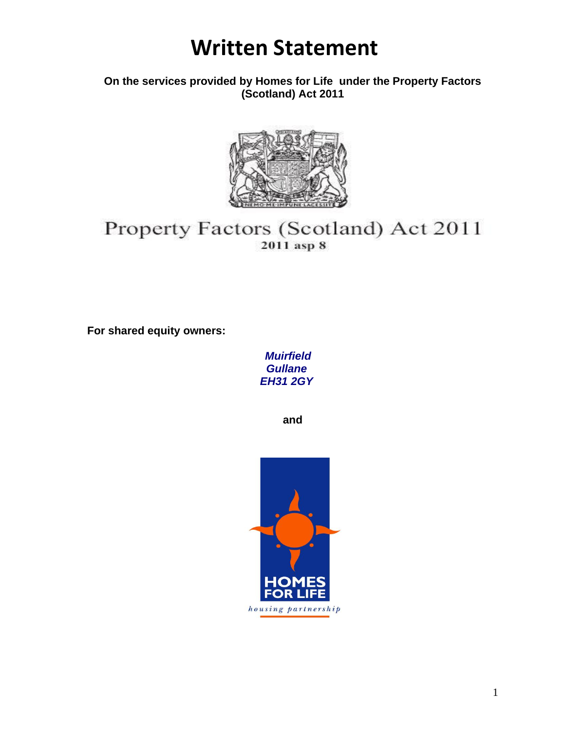**On the services provided by Homes for Life under the Property Factors (Scotland) Act 2011**



### Property Factors (Scotland) Act 2011 2011 asp 8

**For shared equity owners:**

*Muirfield Gullane EH31 2GY*

**and** 

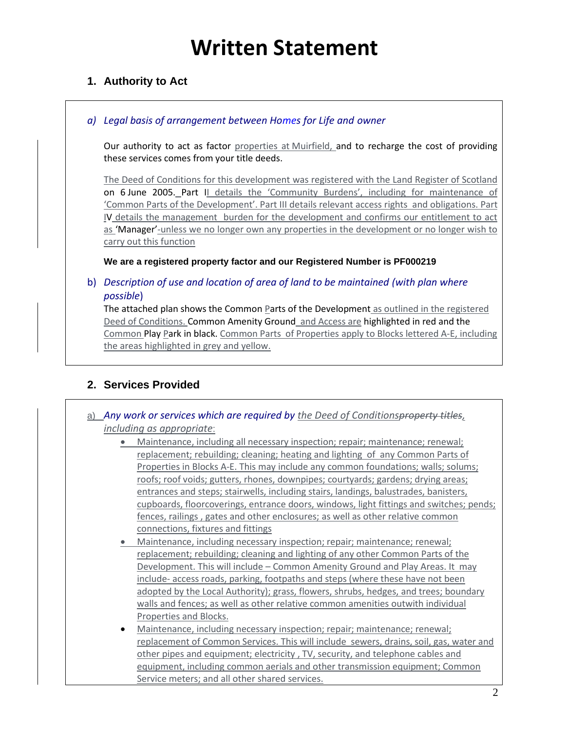### **1. Authority to Act**

#### *a) Legal basis of arrangement between Homes for Life and owner*

Our authority to act as factor properties at Muirfield, and to recharge the cost of providing these services comes from your title deeds.

The Deed of Conditions for this development was registered with the Land Register of Scotland on 6 June 2005. Part II details the 'Community Burdens', including for maintenance of 'Common Parts of the Development'. Part III details relevant access rights and obligations. Part IV details the management burden for the development and confirms our entitlement to act as 'Manager'-unless we no longer own any properties in the development or no longer wish to carry out this function

**We are a registered property factor and our Registered Number is PF000219**

#### b) *Description of use and location of area of land to be maintained (with plan where possible*)

The attached plan shows the Common Parts of the Development as outlined in the registered Deed of Conditions. Common Amenity Ground and Access are highlighted in red and the Common Play Park in black. Common Parts of Properties apply to Blocks lettered A-E, including the areas highlighted in grey and yellow.

### **2. Services Provided**

- a) *Any work or services which are required by the Deed of Conditionsproperty titles, including as appropriate*:
	- Maintenance, including all necessary inspection; repair; maintenance; renewal; replacement; rebuilding; cleaning; heating and lighting of any Common Parts of Properties in Blocks A-E. This may include any common foundations; walls; solums; roofs; roof voids; gutters, rhones, downpipes; courtyards; gardens; drying areas; entrances and steps; stairwells, including stairs, landings, balustrades, banisters, cupboards, floorcoverings, entrance doors, windows, light fittings and switches; pends; fences, railings , gates and other enclosures; as well as other relative common connections, fixtures and fittings
	- Maintenance, including necessary inspection; repair; maintenance; renewal; replacement; rebuilding; cleaning and lighting of any other Common Parts of the Development. This will include – Common Amenity Ground and Play Areas. It may include- access roads, parking, footpaths and steps (where these have not been adopted by the Local Authority); grass, flowers, shrubs, hedges, and trees; boundary walls and fences; as well as other relative common amenities outwith individual Properties and Blocks.
	- Maintenance, including necessary inspection; repair; maintenance; renewal; replacement of Common Services. This will include sewers, drains, soil, gas, water and other pipes and equipment; electricity , TV, security, and telephone cables and equipment, including common aerials and other transmission equipment; Common Service meters; and all other shared services.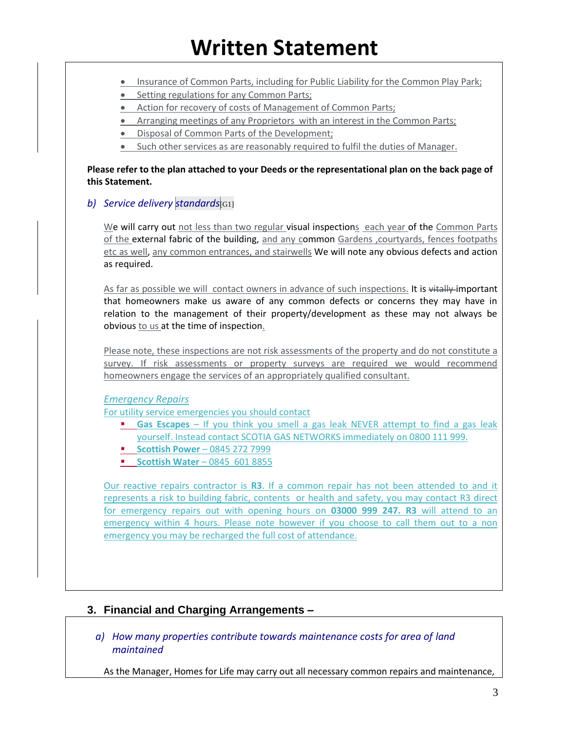Г

|  | Insurance of Common Parts, including for Public Liability for the Common Play Park;                                                                                                                                                                                                                                      |
|--|--------------------------------------------------------------------------------------------------------------------------------------------------------------------------------------------------------------------------------------------------------------------------------------------------------------------------|
|  | Setting regulations for any Common Parts;                                                                                                                                                                                                                                                                                |
|  | Action for recovery of costs of Management of Common Parts;                                                                                                                                                                                                                                                              |
|  | Arranging meetings of any Proprietors with an interest in the Common Parts;<br>$\bullet$<br>Disposal of Common Parts of the Development;                                                                                                                                                                                 |
|  | Such other services as are reasonably required to fulfil the duties of Manager.                                                                                                                                                                                                                                          |
|  |                                                                                                                                                                                                                                                                                                                          |
|  | Please refer to the plan attached to your Deeds or the representational plan on the back page of<br>this Statement.                                                                                                                                                                                                      |
|  | b) Service delivery standards G11                                                                                                                                                                                                                                                                                        |
|  | We will carry out not less than two regular visual inspections each year of the Common Parts<br>of the external fabric of the building, and any common Gardens , courtyards, fences footpaths<br>etc as well, any common entrances, and stairwells We will note any obvious defects and action<br>as required.           |
|  | As far as possible we will contact owners in advance of such inspections. It is vitally-important<br>that homeowners make us aware of any common defects or concerns they may have in<br>relation to the management of their property/development as these may not always be<br>obvious to us at the time of inspection. |
|  | Please note, these inspections are not risk assessments of the property and do not constitute a<br>survey. If risk assessments or property surveys are required we would recommend<br>homeowners engage the services of an appropriately qualified consultant.                                                           |
|  | <b>Emergency Repairs</b>                                                                                                                                                                                                                                                                                                 |
|  | For utility service emergencies you should contact                                                                                                                                                                                                                                                                       |
|  | Gas Escapes - If you think you smell a gas leak NEVER attempt to find a gas leak<br>yourself. Instead contact SCOTIA GAS NETWORKS immediately on 0800 111 999.<br><b>Scottish Power</b> - 0845 272 7999<br><b>Scottish Water - 0845 601 8855</b>                                                                         |
|  | Our reactive repairs contractor is R3. If a common repair has not been attended to and it                                                                                                                                                                                                                                |
|  | represents a risk to building fabric, contents or health and safety, you may contact R3 direct<br>for emergency repairs out with opening hours on 03000 999 247. R3 will attend to an                                                                                                                                    |
|  |                                                                                                                                                                                                                                                                                                                          |
|  | emergency you may be recharged the full cost of attendance.                                                                                                                                                                                                                                                              |
|  | emergency within 4 hours. Please note however if you choose to call them out to a non                                                                                                                                                                                                                                    |
|  |                                                                                                                                                                                                                                                                                                                          |
|  |                                                                                                                                                                                                                                                                                                                          |
|  |                                                                                                                                                                                                                                                                                                                          |

*a) How many properties contribute towards maintenance costs for area of land maintained*

As the Manager, Homes for Life may carry out all necessary common repairs and maintenance,

٦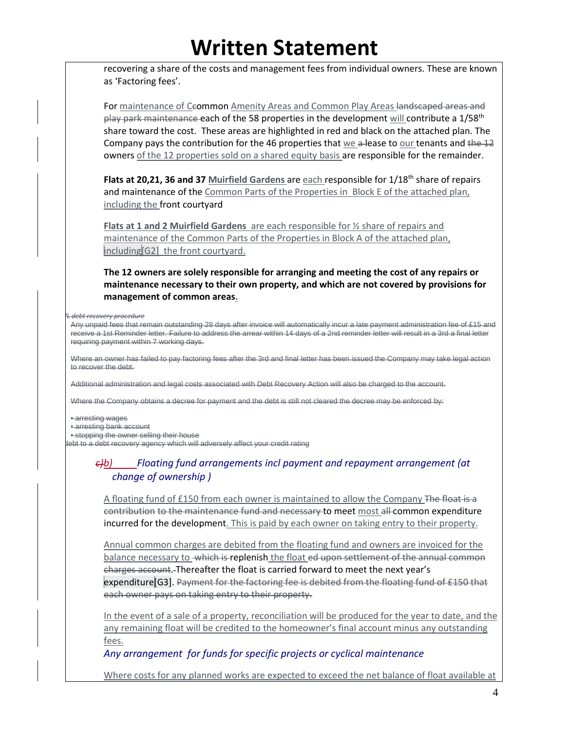recovering a share of the costs and management fees from individual owners. These are known as 'Factoring fees'.

For maintenance of Ceommon Amenity Areas and Common Play Areas landscaped areas and  $p$ lay park maintenance each of the 58 properties in the development will contribute a  $1/58<sup>th</sup>$ share toward the cost. These areas are highlighted in red and black on the attached plan. The Company pays the contribution for the 46 properties that we a-lease to our tenants and the  $12$ owners of the 12 properties sold on a shared equity basis are responsible for the remainder.

**Flats at 20,21, 36 and 37 Muirfield Gardens are each responsible for 1/18<sup>th</sup> share of repairs** and maintenance of the Common Parts of the Properties in Block E of the attached plan, including the front courtyard

**Flats at 1 and 2 Muirfield Gardens** are each responsible for ½ share of repairs and maintenance of the Common Parts of the Properties in Block A of the attached plan, including[G2] the front courtyard.

**The 12 owners are solely responsible for arranging and meeting the cost of any repairs or maintenance necessary to their own property, and which are not covered by provisions for management of common areas.**

*b)HfL debt recovery procedure* 

Any unpaid fees that remain outstanding 28 days after invoice will automatically incur a late payment administration fee of £15 and receive a 1st Reminder letter. Failure to address the arrear within 14 days of a 2nd reminder letter will result in a 3rd a final letter requiring payment within 7 working days.

Where an owner has failed to pay factoring fees after the 3rd and final letter has been issued the Company may take legal action to recover the debt.

Additional administration and legal costs associated with Debt Recovery Action will also be charged to the account.

Where the Company obtains a decree for payment and the debt is still not cleared the decree may be enforced by:

• arresting wages

• arresting bank account

• stopping the owner selling their house

lebt to a debt recovery agency which will adversely affect your credit rating

#### *c)b) Floating fund arrangements incl payment and repayment arrangement (at change of ownership )*

A floating fund of £150 from each owner is maintained to allow the Company The float is a contribution to the maintenance fund and necessary to meet most all common expenditure incurred for the development. This is paid by each owner on taking entry to their property.

Annual common charges are debited from the floating fund and owners are invoiced for the balance necessary to which is replenish the float ed upon settlement of the annual common charges account. Thereafter the float is carried forward to meet the next year's expenditure[G3]. Payment for the factoring fee is debited from the floating fund of £150 that each owner pays on taking entry to their property.

In the event of a sale of a property, reconciliation will be produced for the year to date, and the any remaining float will be credited to the homeowner's final account minus any outstanding fees.

*Any arrangement for funds for specific projects or cyclical maintenance*

Where costs for any planned works are expected to exceed the net balance of float available at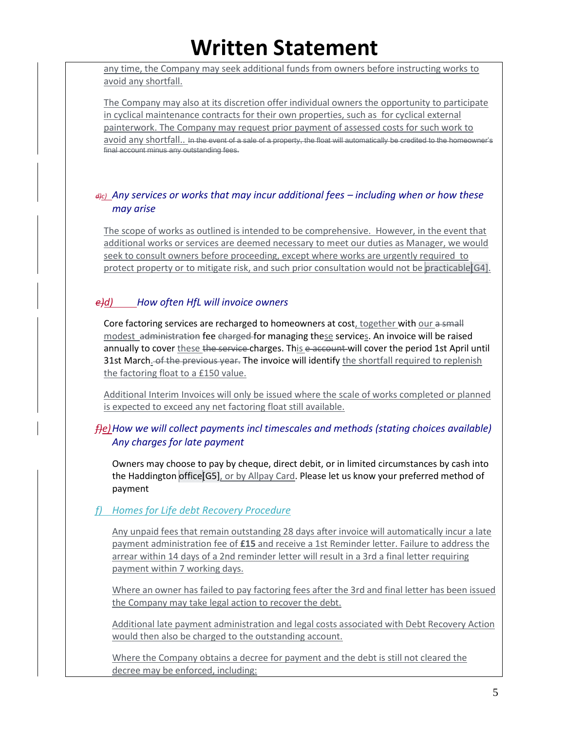any time, the Company may seek additional funds from owners before instructing works to avoid any shortfall.

The Company may also at its discretion offer individual owners the opportunity to participate in cyclical maintenance contracts for their own properties, such as for cyclical external painterwork. The Company may request prior payment of assessed costs for such work to avoid any shortfall.. In the event of a sale of a property, the float will automatically be credited to the homeowner's final account minus any outstanding fees.

#### *d)c) Any services or works that may incur additional fees – including when or how these may arise*

The scope of works as outlined is intended to be comprehensive. However, in the event that additional works or services are deemed necessary to meet our duties as Manager, we would seek to consult owners before proceeding, except where works are urgently required to protect property or to mitigate risk, and such prior consultation would not be practicable [G4].

#### *e)d) How often HfL will invoice owners*

Core factoring services are recharged to homeowners at cost, together with our a small modest administration fee charged for managing these services. An invoice will be raised annually to cover these the service charges. This e account will cover the period 1st April until 31st March. of the previous year. The invoice will identify the shortfall required to replenish the factoring float to a £150 value.

Additional Interim Invoices will only be issued where the scale of works completed or planned is expected to exceed any net factoring float still available.

### *f)e)How we will collect payments incl timescales and methods (stating choices available) Any charges for late payment*

Owners may choose to pay by cheque, direct debit, or in limited circumstances by cash into the Haddington office[G5], or by Allpay Card. Please let us know your preferred method of payment

#### *f) Homes for Life debt Recovery Procedure*

Any unpaid fees that remain outstanding 28 days after invoice will automatically incur a late payment administration fee of **£15** and receive a 1st Reminder letter. Failure to address the arrear within 14 days of a 2nd reminder letter will result in a 3rd a final letter requiring payment within 7 working days.

Where an owner has failed to pay factoring fees after the 3rd and final letter has been issued the Company may take legal action to recover the debt.

Additional late payment administration and legal costs associated with Debt Recovery Action would then also be charged to the outstanding account.

Where the Company obtains a decree for payment and the debt is still not cleared the decree may be enforced, including: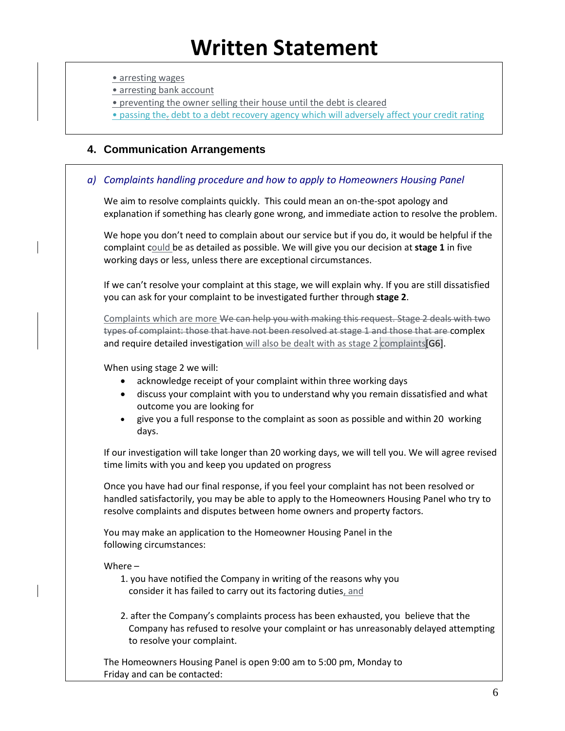• arresting wages

• arresting bank account

• preventing the owner selling their house until the debt is cleared

• passing the. debt to a debt recovery agency which will adversely affect your credit rating

#### **4. Communication Arrangements**

#### *a) Complaints handling procedure and how to apply to Homeowners Housing Panel*

We aim to resolve complaints quickly. This could mean an on-the-spot apology and explanation if something has clearly gone wrong, and immediate action to resolve the problem.

We hope you don't need to complain about our service but if you do, it would be helpful if the complaint could be as detailed as possible. We will give you our decision at **stage 1** in five working days or less, unless there are exceptional circumstances.

If we can't resolve your complaint at this stage, we will explain why. If you are still dissatisfied you can ask for your complaint to be investigated further through **stage 2**.

Complaints which are more We can help you with making this request. Stage 2 deals with two types of complaint: those that have not been resolved at stage 1 and those that are complex and require detailed investigation will also be dealt with as stage  $2$  complaints [G6].

When using stage 2 we will:

- acknowledge receipt of your complaint within three working days
- discuss your complaint with you to understand why you remain dissatisfied and what outcome you are looking for
- give you a full response to the complaint as soon as possible and within 20 working days.

If our investigation will take longer than 20 working days, we will tell you. We will agree revised time limits with you and keep you updated on progress

Once you have had our final response, if you feel your complaint has not been resolved or handled satisfactorily, you may be able to apply to the Homeowners Housing Panel who try to resolve complaints and disputes between home owners and property factors.

You may make an application to the Homeowner Housing Panel in the following circumstances:

#### Where –

- 1. you have notified the Company in writing of the reasons why you consider it has failed to carry out its factoring duties, and
- 2. after the Company's complaints process has been exhausted, you believe that the Company has refused to resolve your complaint or has unreasonably delayed attempting to resolve your complaint.

The Homeowners Housing Panel is open 9:00 am to 5:00 pm, Monday to Friday and can be contacted: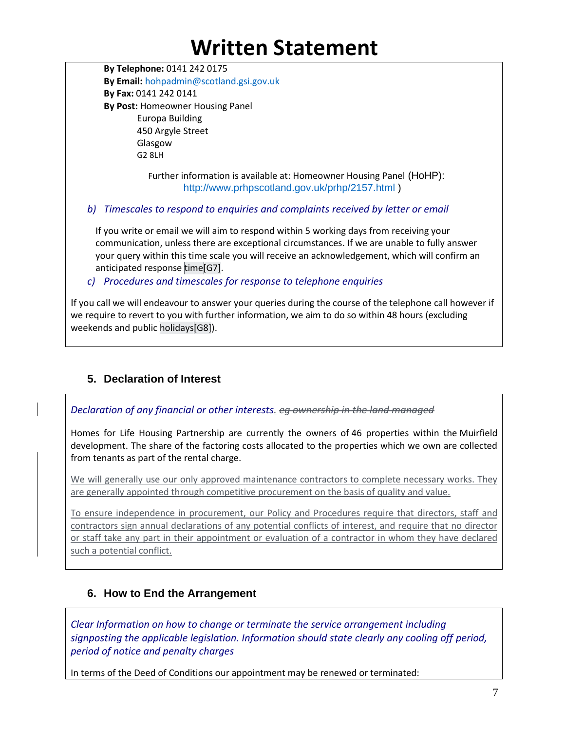**By Telephone:** 0141 242 0175 **By Email:** hohpadmin@scotland.gsi.gov.uk **By Fax:** 0141 242 0141 **By Post:** Homeowner Housing Panel Europa Building 450 Argyle Street Glasgow G2 8LH

> Further information is available at: Homeowner Housing Panel (HoHP): http://www.prhpscotland.gov.uk/prhp/2157.html )

*b) Timescales to respond to enquiries and complaints received by letter or email*

If you write or email we will aim to respond within 5 working days from receiving your communication, unless there are exceptional circumstances. If we are unable to fully answer your query within this time scale you will receive an acknowledgement, which will confirm an anticipated response time[G7].

*c) Procedures and timescales for response to telephone enquiries*

If you call we will endeavour to answer your queries during the course of the telephone call however if we require to revert to you with further information, we aim to do so within 48 hours (excluding weekends and public holidays[G8]).

### **5. Declaration of Interest**

*Declaration of any financial or other interests. eg ownership in the land managed*

Homes for Life Housing Partnership are currently the owners of 46 properties within the Muirfield development. The share of the factoring costs allocated to the properties which we own are collected from tenants as part of the rental charge.

We will generally use our only approved maintenance contractors to complete necessary works. They are generally appointed through competitive procurement on the basis of quality and value.

To ensure independence in procurement, our Policy and Procedures require that directors, staff and contractors sign annual declarations of any potential conflicts of interest, and require that no director or staff take any part in their appointment or evaluation of a contractor in whom they have declared such a potential conflict.

### **6. How to End the Arrangement**

*Clear Information on how to change or terminate the service arrangement including signposting the applicable legislation. Information should state clearly any cooling off period, period of notice and penalty charges*

In terms of the Deed of Conditions our appointment may be renewed or terminated: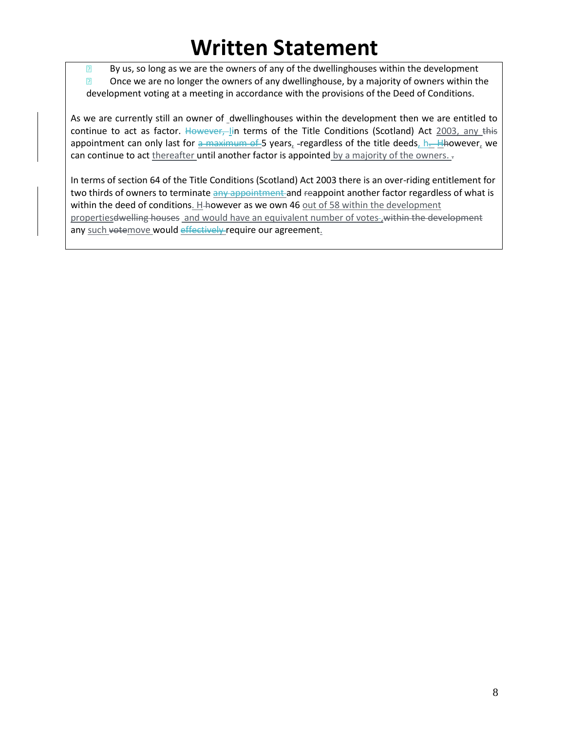By us, so long as we are the owners of any of the dwellinghouses within the development **2** Once we are no longer the owners of any dwellinghouse, by a majority of owners within the development voting at a meeting in accordance with the provisions of the Deed of Conditions.

As we are currently still an owner of dwellinghouses within the development then we are entitled to continue to act as factor. However, lin terms of the Title Conditions (Scotland) Act 2003, any this appointment can only last for a maximum of 5 years, -regardless of the title deeds, h. Hhowever, we can continue to act thereafter until another factor is appointed by a majority of the owners.

In terms of section 64 of the Title Conditions (Scotland) Act 2003 there is an over-riding entitlement for two thirds of owners to terminate any appointment and reappoint another factor regardless of what is within the deed of conditions. H-however as we own 46 out of 58 within the development propertiesdwelling houses and would have an equivalent number of votes , within the development any such votemove would effectively require our agreement.